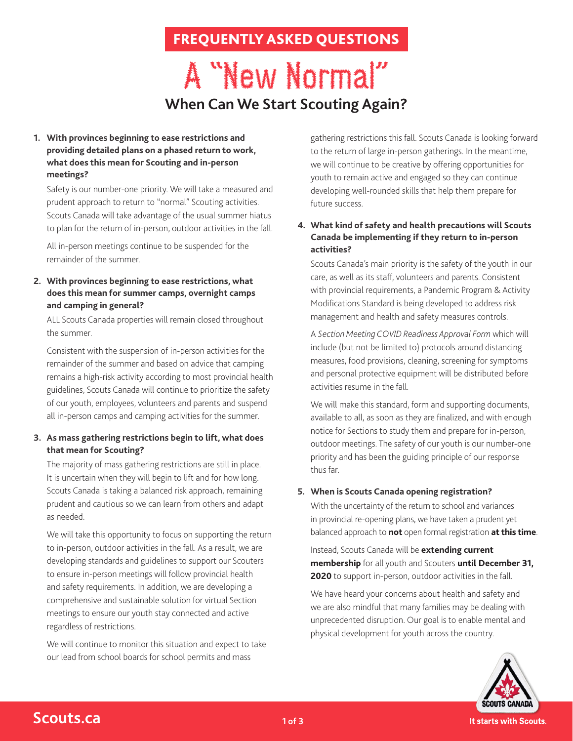# FREQUENTLY ASKED QUESTIONS

# A "New Normal" **When Can We Start Scouting Again?**

## **1. With provinces beginning to ease restrictions and providing detailed plans on a phased return to work, what does this mean for Scouting and in-person meetings?**

Safety is our number-one priority. We will take a measured and prudent approach to return to "normal" Scouting activities. Scouts Canada will take advantage of the usual summer hiatus to plan for the return of in-person, outdoor activities in the fall.

All in-person meetings continue to be suspended for the remainder of the summer.

#### **2. With provinces beginning to ease restrictions, what does this mean for summer camps, overnight camps and camping in general?**

ALL Scouts Canada properties will remain closed throughout the summer.

Consistent with the suspension of in-person activities for the remainder of the summer and based on advice that camping remains a high-risk activity according to most provincial health guidelines, Scouts Canada will continue to prioritize the safety of our youth, employees, volunteers and parents and suspend all in-person camps and camping activities for the summer.

# **3. As mass gathering restrictions begin to lift, what does that mean for Scouting?**

The majority of mass gathering restrictions are still in place. It is uncertain when they will begin to lift and for how long. Scouts Canada is taking a balanced risk approach, remaining prudent and cautious so we can learn from others and adapt as needed.

We will take this opportunity to focus on supporting the return to in-person, outdoor activities in the fall. As a result, we are developing standards and guidelines to support our Scouters to ensure in-person meetings will follow provincial health and safety requirements. In addition, we are developing a comprehensive and sustainable solution for virtual Section meetings to ensure our youth stay connected and active regardless of restrictions.

We will continue to monitor this situation and expect to take our lead from school boards for school permits and mass

gathering restrictions this fall. Scouts Canada is looking forward to the return of large in-person gatherings. In the meantime, we will continue to be creative by offering opportunities for youth to remain active and engaged so they can continue developing well-rounded skills that help them prepare for future success.

## **4. What kind of safety and health precautions will Scouts Canada be implementing if they return to in-person activities?**

Scouts Canada's main priority is the safety of the youth in our care, as well as its staff, volunteers and parents. Consistent with provincial requirements, a Pandemic Program & Activity Modifications Standard is being developed to address risk management and health and safety measures controls.

A *Section Meeting COVID Readiness Approval Form* which will include (but not be limited to) protocols around distancing measures, food provisions, cleaning, screening for symptoms and personal protective equipment will be distributed before activities resume in the fall.

We will make this standard, form and supporting documents, available to all, as soon as they are finalized, and with enough notice for Sections to study them and prepare for in-person, outdoor meetings. The safety of our youth is our number-one priority and has been the guiding principle of our response thus far.

# **5. When is Scouts Canada opening registration?**

With the uncertainty of the return to school and variances in provincial re-opening plans, we have taken a prudent yet balanced approach to **not** open formal registration **at this time**.

Instead, Scouts Canada will be **extending current membership** for all youth and Scouters **until December 31, 2020** to support in-person, outdoor activities in the fall.

We have heard your concerns about health and safety and we are also mindful that many families may be dealing with unprecedented disruption. Our goal is to enable mental and physical development for youth across the country.



# **Scouts.ca**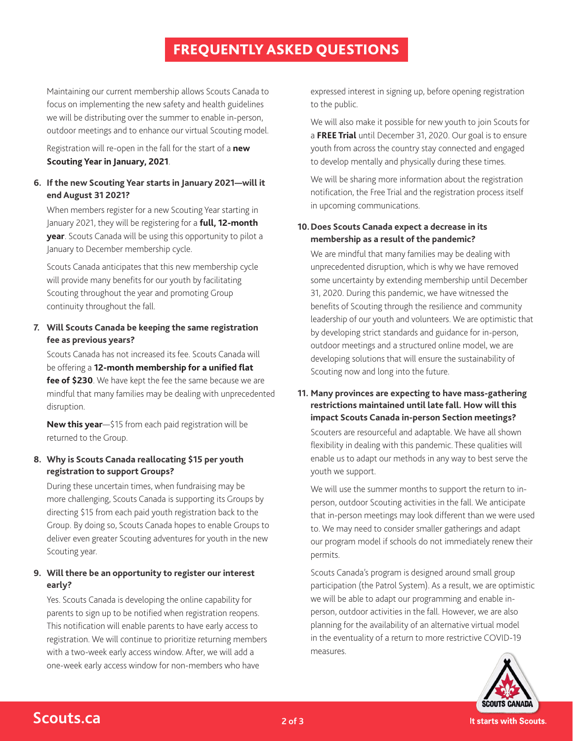# FREQUENTLY ASKED QUESTIONS

Maintaining our current membership allows Scouts Canada to focus on implementing the new safety and health guidelines we will be distributing over the summer to enable in-person, outdoor meetings and to enhance our virtual Scouting model.

Registration will re-open in the fall for the start of a **new Scouting Year in January, 2021**.

#### **6. If the new Scouting Year starts in January 2021—will it end August 31 2021?**

When members register for a new Scouting Year starting in January 2021, they will be registering for a **full, 12-month year**. Scouts Canada will be using this opportunity to pilot a January to December membership cycle.

Scouts Canada anticipates that this new membership cycle will provide many benefits for our youth by facilitating Scouting throughout the year and promoting Group continuity throughout the fall.

# **7. Will Scouts Canada be keeping the same registration fee as previous years?**

Scouts Canada has not increased its fee. Scouts Canada will be offering a **12-month membership for a unified flat fee of \$230**. We have kept the fee the same because we are mindful that many families may be dealing with unprecedented disruption.

**New this year**—\$15 from each paid registration will be returned to the Group.

## **8. Why is Scouts Canada reallocating \$15 per youth registration to support Groups?**

During these uncertain times, when fundraising may be more challenging, Scouts Canada is supporting its Groups by directing \$15 from each paid youth registration back to the Group. By doing so, Scouts Canada hopes to enable Groups to deliver even greater Scouting adventures for youth in the new Scouting year.

# **9. Will there be an opportunity to register our interest early?**

Yes. Scouts Canada is developing the online capability for parents to sign up to be notified when registration reopens. This notification will enable parents to have early access to registration. We will continue to prioritize returning members with a two-week early access window. After, we will add a one-week early access window for non-members who have

expressed interest in signing up, before opening registration to the public.

We will also make it possible for new youth to join Scouts for a **FREE Trial** until December 31, 2020. Our goal is to ensure youth from across the country stay connected and engaged to develop mentally and physically during these times.

We will be sharing more information about the registration notification, the Free Trial and the registration process itself in upcoming communications.

#### **10.Does Scouts Canada expect a decrease in its membership as a result of the pandemic?**

We are mindful that many families may be dealing with unprecedented disruption, which is why we have removed some uncertainty by extending membership until December 31, 2020. During this pandemic, we have witnessed the benefits of Scouting through the resilience and community leadership of our youth and volunteers. We are optimistic that by developing strict standards and guidance for in-person, outdoor meetings and a structured online model, we are developing solutions that will ensure the sustainability of Scouting now and long into the future.

#### **11. Many provinces are expecting to have mass-gathering restrictions maintained until late fall. How will this impact Scouts Canada in-person Section meetings?**

Scouters are resourceful and adaptable. We have all shown flexibility in dealing with this pandemic. These qualities will enable us to adapt our methods in any way to best serve the youth we support.

We will use the summer months to support the return to inperson, outdoor Scouting activities in the fall. We anticipate that in-person meetings may look different than we were used to. We may need to consider smaller gatherings and adapt our program model if schools do not immediately renew their permits.

Scouts Canada's program is designed around small group participation (the Patrol System). As a result, we are optimistic we will be able to adapt our programming and enable inperson, outdoor activities in the fall. However, we are also planning for the availability of an alternative virtual model in the eventuality of a return to more restrictive COVID-19 measures.



**Scouts.ca 2018**